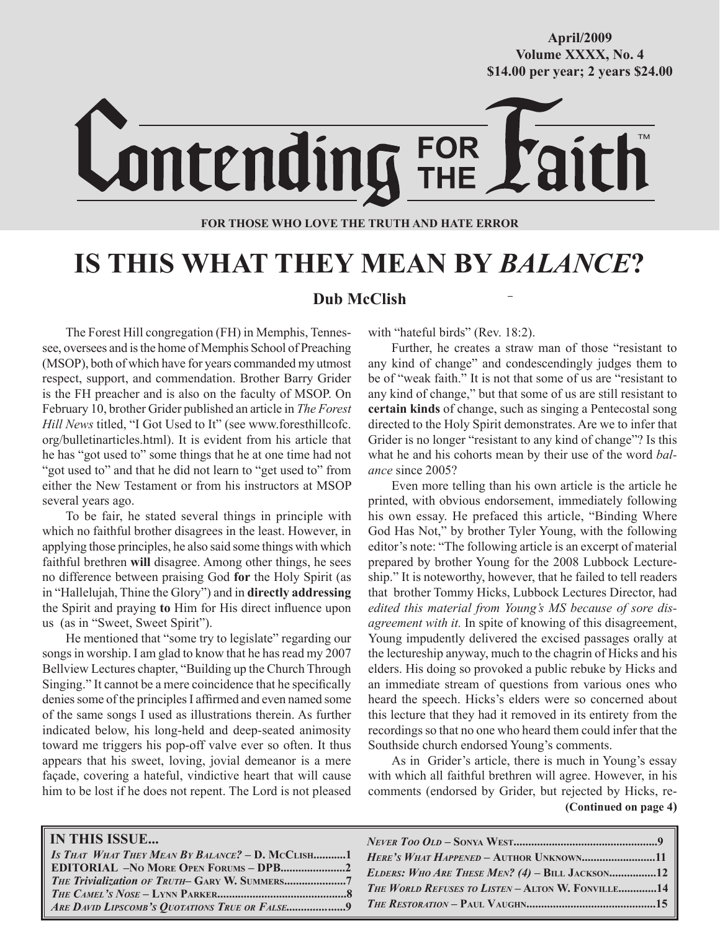#### **October/2007 Volume XXXX, No. 4 Volume XXXVIII, No. 10 \$14.00 per year; 2 years \$24.00 \$14.00 per year; 2 years \$24.00 April/2009**



#### **FOR THOSE WHO LOVE THE TRUTH AND HATE ERROR**

# **IS THIS WHAT THEY MEAN BY** *BALANCE***?**

### **Dub McClish**

The Forest Hill congregation (FH) in Memphis, Tennessee, oversees and is the home of Memphis School of Preaching (MSOP), both of which have for years commanded my utmost respect, support, and commendation. Brother Barry Grider is the FH preacher and is also on the faculty of MSOP. On February 10, brother Grider published an article in *The Forest Hill News* titled, "I Got Used to It" (see www.foresthillcofc. org/bulletinarticles.html). It is evident from his article that he has "got used to" some things that he at one time had not "got used to" and that he did not learn to "get used to" from either the New Testament or from his instructors at MSOP several years ago.

To be fair, he stated several things in principle with which no faithful brother disagrees in the least. However, in applying those principles, he also said some things with which faithful brethren **will** disagree. Among other things, he sees no difference between praising God **for** the Holy Spirit (as in "Hallelujah, Thine the Glory") and in **directly addressing** the Spirit and praying **to** Him for His direct influence upon us (as in "Sweet, Sweet Spirit").

He mentioned that "some try to legislate" regarding our songs in worship. I am glad to know that he has read my 2007 Bellview Lectures chapter, "Building up the Church Through Singing." It cannot be a mere coincidence that he specifically denies some of the principles I affirmed and even named some of the same songs I used as illustrations therein. As further indicated below, his long-held and deep-seated animosity toward me triggers his pop-off valve ever so often. It thus appears that his sweet, loving, jovial demeanor is a mere façade, covering a hateful, vindictive heart that will cause him to be lost if he does not repent. The Lord is not pleased with "hateful birds" (Rev. 18:2).

Further, he creates a straw man of those "resistant to any kind of change" and condescendingly judges them to be of "weak faith." It is not that some of us are "resistant to any kind of change," but that some of us are still resistant to **certain kinds** of change, such as singing a Pentecostal song directed to the Holy Spirit demonstrates. Are we to infer that Grider is no longer "resistant to any kind of change"? Is this what he and his cohorts mean by their use of the word *balance* since 2005?

Even more telling than his own article is the article he printed, with obvious endorsement, immediately following his own essay. He prefaced this article, "Binding Where God Has Not," by brother Tyler Young, with the following editor's note: "The following article is an excerpt of material prepared by brother Young for the 2008 Lubbock Lectureship." It is noteworthy, however, that he failed to tell readers that brother Tommy Hicks, Lubbock Lectures Director, had *edited this material from Young's MS because of sore disagreement with it.* In spite of knowing of this disagreement, Young impudently delivered the excised passages orally at the lectureship anyway, much to the chagrin of Hicks and his elders. His doing so provoked a public rebuke by Hicks and an immediate stream of questions from various ones who heard the speech. Hicks's elders were so concerned about this lecture that they had it removed in its entirety from the recordings so that no one who heard them could infer that the Southside church endorsed Young's comments.

 **(Continued on page 4)** As in Grider's article, there is much in Young's essay with which all faithful brethren will agree. However, in his comments (endorsed by Grider, but rejected by Hicks, re-

| <b>IN THIS ISSUE</b>                                                                                                                                                                                |                                                                                                                                                 |
|-----------------------------------------------------------------------------------------------------------------------------------------------------------------------------------------------------|-------------------------------------------------------------------------------------------------------------------------------------------------|
| IS THAT WHAT THEY MEAN BY BALANCE? - D. MCCLISH1<br><b>EDITORIAL</b> -No MORE OPEN FORUMS - DPB2<br>THE Trivialization OF TRUTH- GARY W. SUMMERS7<br>ARE DAVID LIPSCOMB'S QUOTATIONS TRUE OR FALSE9 | HERE'S WHAT HAPPENED - AUTHOR UNKNOWN11<br>ELDERS: WHO ARE THESE MEN? (4) - BILL JACKSON12<br>THE WORLD REFUSES TO LISTEN - ALTON W. FONVILLE14 |
|                                                                                                                                                                                                     |                                                                                                                                                 |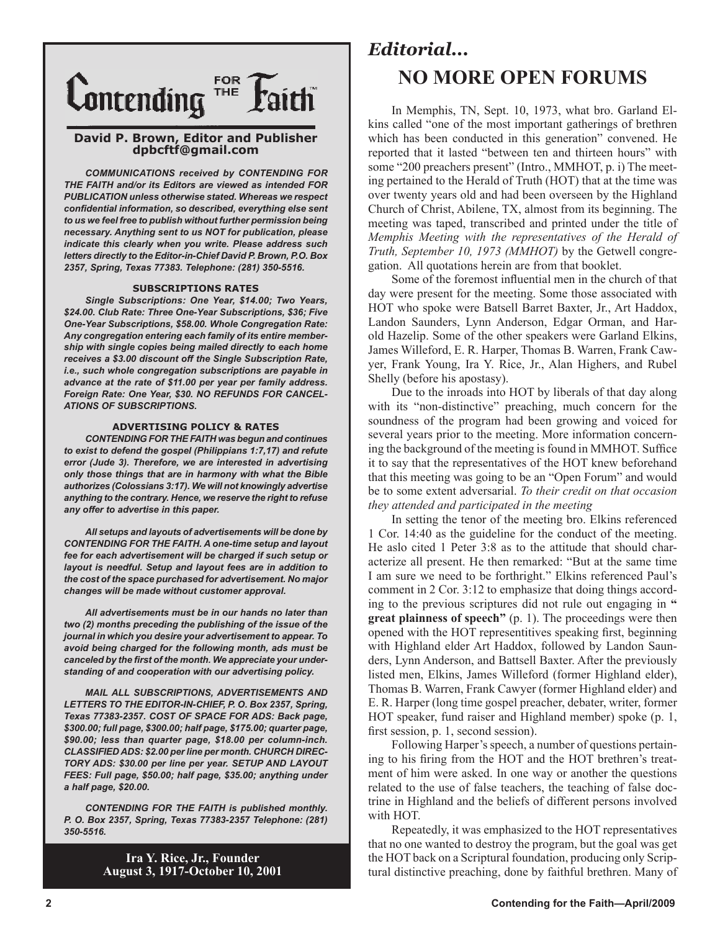

#### **David P. Brown, Editor and Publisher dpbcftf@gmail.com**

*COMMUNICATIONS received by CONTENDING FOR THE FAITH and/or its Editors are viewed as intended FOR PUBLICATION unless otherwise stated. Whereas we respect confidential information, so described, everything else sent to us we feel free to publish without further permission being necessary. Anything sent to us NOT for publication, please indicate this clearly when you write. Please address such letters directly to the Editor-in-Chief David P. Brown, P.O. Box 2357, Spring, Texas 77383. Telephone: (281) 350-5516.*

#### **SUBSCRIPTIONS RATES**

*Single Subscriptions: One Year, \$14.00; Two Years, \$24.00. Club Rate: Three One-Year Subscriptions, \$36; Five One-Year Subscriptions, \$58.00. Whole Congregation Rate: Any congregation entering each family of its entire membership with single copies being mailed directly to each home receives a \$3.00 discount off the Single Subscription Rate, i.e., such whole congregation subscriptions are payable in advance at the rate of \$11.00 per year per family address. Foreign Rate: One Year, \$30. NO REFUNDS FOR CANCEL-ATIONS OF SUBSCRIPTIONS.*

#### **ADVERTISING POLICY & RATES**

*CONTENDING FOR THE FAITH was begun and continues to exist to defend the gospel (Philippians 1:7,17) and refute error (Jude 3). Therefore, we are interested in advertising only those things that are in harmony with what the Bible authorizes (Colossians 3:17). We will not knowingly advertise anything to the contrary. Hence, we reserve the right to refuse any offer to advertise in this paper.*

*All setups and layouts of advertisements will be done by CONTENDING FOR THE FAITH. A one-time setup and layout fee for each advertisement will be charged if such setup or layout is needful. Setup and layout fees are in addition to the cost of the space purchased for advertisement. No major changes will be made without customer approval.*

*All advertisements must be in our hands no later than two (2) months preceding the publishing of the issue of the journal in which you desire your advertisement to appear. To avoid being charged for the following month, ads must be canceled by the first of the month. We appreciate your understanding of and cooperation with our advertising policy.*

*MAIL ALL SUBSCRIPTIONS, ADVERTISEMENTS AND LETTERS TO THE EDITOR-IN-CHIEF, P. O. Box 2357, Spring, Texas 77383-2357. COST OF SPACE FOR ADS: Back page, \$300.00; full page, \$300.00; half page, \$175.00; quarter page, \$90.00; less than quarter page, \$18.00 per column-inch. CLASSIFIED ADS: \$2.00 per line per month. CHURCH DIREC-TORY ADS: \$30.00 per line per year. SETUP AND LAYOUT FEES: Full page, \$50.00; half page, \$35.00; anything under a half page, \$20.00.*

*CONTENDING FOR THE FAITH is published monthly. P. O. Box 2357, Spring, Texas 77383-2357 Telephone: (281) 350-5516.*

> **Ira Y. Rice, Jr., Founder August 3, 1917-October 10, 2001**

### *Editorial...* **NO MORE OPEN FORUMS**

In Memphis, TN, Sept. 10, 1973, what bro. Garland Elkins called "one of the most important gatherings of brethren which has been conducted in this generation" convened. He reported that it lasted "between ten and thirteen hours" with some "200 preachers present" (Intro., MMHOT, p. i) The meeting pertained to the Herald of Truth (HOT) that at the time was over twenty years old and had been overseen by the Highland Church of Christ, Abilene, TX, almost from its beginning. The meeting was taped, transcribed and printed under the title of *Memphis Meeting with the representatives of the Herald of Truth, September 10, 1973 (MMHOT)* by the Getwell congregation. All quotations herein are from that booklet.

Some of the foremost influential men in the church of that day were present for the meeting. Some those associated with HOT who spoke were Batsell Barret Baxter, Jr., Art Haddox, Landon Saunders, Lynn Anderson, Edgar Orman, and Harold Hazelip. Some of the other speakers were Garland Elkins, James Willeford, E. R. Harper, Thomas B. Warren, Frank Cawyer, Frank Young, Ira Y. Rice, Jr., Alan Highers, and Rubel Shelly (before his apostasy).

Due to the inroads into HOT by liberals of that day along with its "non-distinctive" preaching, much concern for the soundness of the program had been growing and voiced for several years prior to the meeting. More information concerning the background of the meeting is found in MMHOT. Suffice it to say that the representatives of the HOT knew beforehand that this meeting was going to be an "Open Forum" and would be to some extent adversarial. *To their credit on that occasion they attended and participated in the meeting*

In setting the tenor of the meeting bro. Elkins referenced 1 Cor. 14:40 as the guideline for the conduct of the meeting. He aslo cited 1 Peter 3:8 as to the attitude that should characterize all present. He then remarked: "But at the same time I am sure we need to be forthright." Elkins referenced Paul's comment in 2 Cor. 3:12 to emphasize that doing things according to the previous scriptures did not rule out engaging in **" great plainness of speech"** (p. 1). The proceedings were then opened with the HOT representitives speaking first, beginning with Highland elder Art Haddox, followed by Landon Saunders, Lynn Anderson, and Battsell Baxter. After the previously listed men, Elkins, James Willeford (former Highland elder), Thomas B. Warren, Frank Cawyer (former Highland elder) and E. R. Harper (long time gospel preacher, debater, writer, former HOT speaker, fund raiser and Highland member) spoke (p. 1, first session, p. 1, second session).

Following Harper's speech, a number of questions pertaining to his firing from the HOT and the HOT brethren's treatment of him were asked. In one way or another the questions related to the use of false teachers, the teaching of false doctrine in Highland and the beliefs of different persons involved with HOT.

Repeatedly, it was emphasized to the HOT representatives that no one wanted to destroy the program, but the goal was get the HOT back on a Scriptural foundation, producing only Scriptural distinctive preaching, done by faithful brethren. Many of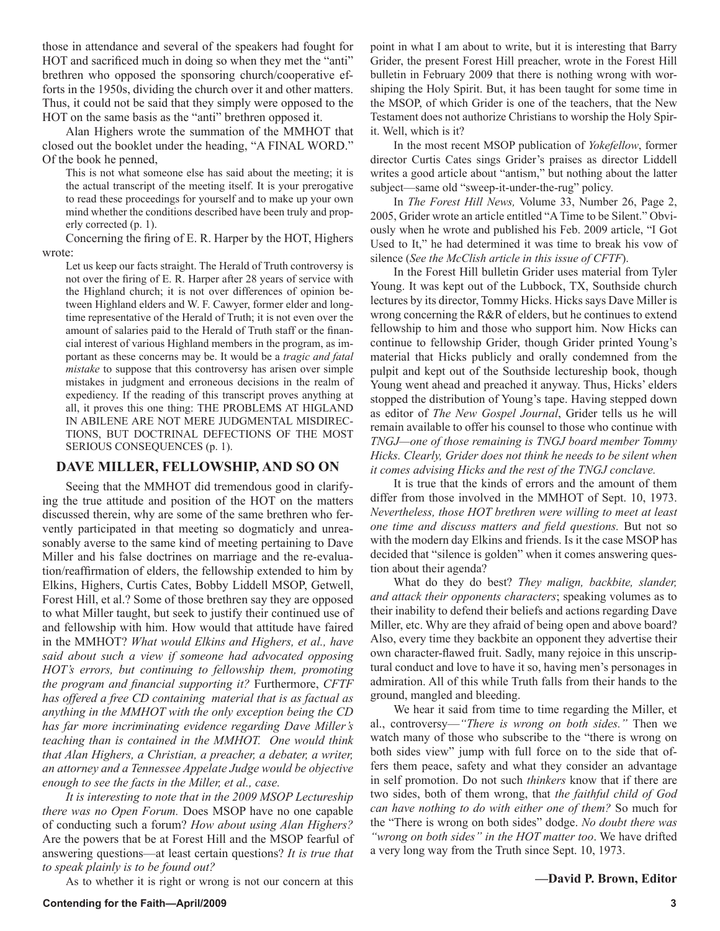those in attendance and several of the speakers had fought for HOT and sacrificed much in doing so when they met the "anti" brethren who opposed the sponsoring church/cooperative efforts in the 1950s, dividing the church over it and other matters. Thus, it could not be said that they simply were opposed to the HOT on the same basis as the "anti" brethren opposed it.

Alan Highers wrote the summation of the MMHOT that closed out the booklet under the heading, "A FINAL WORD." Of the book he penned,

This is not what someone else has said about the meeting; it is the actual transcript of the meeting itself. It is your prerogative to read these proceedings for yourself and to make up your own mind whether the conditions described have been truly and properly corrected (p. 1).

Concerning the firing of E. R. Harper by the HOT, Highers wrote:

Let us keep our facts straight. The Herald of Truth controversy is not over the firing of E. R. Harper after 28 years of service with the Highland church; it is not over differences of opinion between Highland elders and W. F. Cawyer, former elder and longtime representative of the Herald of Truth; it is not even over the amount of salaries paid to the Herald of Truth staff or the financial interest of various Highland members in the program, as important as these concerns may be. It would be a *tragic and fatal mistake* to suppose that this controversy has arisen over simple mistakes in judgment and erroneous decisions in the realm of expediency. If the reading of this transcript proves anything at all, it proves this one thing: THE PROBLEMS AT HIGLAND IN ABILENE ARE NOT MERE JUDGMENTAL MISDIREC-TIONS, BUT DOCTRINAL DEFECTIONS OF THE MOST SERIOUS CONSEQUENCES (p. 1).

#### **DAVE MILLER, FELLOWSHIP, AND SO ON**

Seeing that the MMHOT did tremendous good in clarifying the true attitude and position of the HOT on the matters discussed therein, why are some of the same brethren who fervently participated in that meeting so dogmaticly and unreasonably averse to the same kind of meeting pertaining to Dave Miller and his false doctrines on marriage and the re-evaluation/reaffirmation of elders, the fellowship extended to him by Elkins, Highers, Curtis Cates, Bobby Liddell MSOP, Getwell, Forest Hill, et al.? Some of those brethren say they are opposed to what Miller taught, but seek to justify their continued use of and fellowship with him. How would that attitude have faired in the MMHOT? *What would Elkins and Highers, et al., have said about such a view if someone had advocated opposing HOT's errors, but continuing to fellowship them, promoting the program and financial supporting it?* Furthermore, *CFTF has offered a free CD containing material that is as factual as anything in the MMHOT with the only exception being the CD has far more incriminating evidence regarding Dave Miller's teaching than is contained in the MMHOT. One would think that Alan Highers, a Christian, a preacher, a debater, a writer, an attorney and a Tennessee Appelate Judge would be objective enough to see the facts in the Miller, et al., case.* 

*It is interesting to note that in the 2009 MSOP Lectureship there was no Open Forum.* Does MSOP have no one capable of conducting such a forum? *How about using Alan Highers?* Are the powers that be at Forest Hill and the MSOP fearful of answering questions—at least certain questions? *It is true that to speak plainly is to be found out?*

As to whether it is right or wrong is not our concern at this

point in what I am about to write, but it is interesting that Barry Grider, the present Forest Hill preacher, wrote in the Forest Hill bulletin in February 2009 that there is nothing wrong with worshiping the Holy Spirit. But, it has been taught for some time in the MSOP, of which Grider is one of the teachers, that the New Testament does not authorize Christians to worship the Holy Spirit. Well, which is it?

In the most recent MSOP publication of *Yokefellow*, former director Curtis Cates sings Grider's praises as director Liddell writes a good article about "antism," but nothing about the latter subject—same old "sweep-it-under-the-rug" policy.

In *The Forest Hill News,* Volume 33, Number 26, Page 2, 2005, Grider wrote an article entitled "A Time to be Silent." Obviously when he wrote and published his Feb. 2009 article, "I Got Used to It," he had determined it was time to break his vow of silence (*See the McClish article in this issue of CFTF*).

In the Forest Hill bulletin Grider uses material from Tyler Young. It was kept out of the Lubbock, TX, Southside church lectures by its director, Tommy Hicks. Hicks says Dave Miller is wrong concerning the R&R of elders, but he continues to extend fellowship to him and those who support him. Now Hicks can continue to fellowship Grider, though Grider printed Young's material that Hicks publicly and orally condemned from the pulpit and kept out of the Southside lectureship book, though Young went ahead and preached it anyway. Thus, Hicks' elders stopped the distribution of Young's tape. Having stepped down as editor of *The New Gospel Journal*, Grider tells us he will remain available to offer his counsel to those who continue with *TNGJ—one of those remaining is TNGJ board member Tommy Hicks. Clearly, Grider does not think he needs to be silent when it comes advising Hicks and the rest of the TNGJ conclave.*

It is true that the kinds of errors and the amount of them differ from those involved in the MMHOT of Sept. 10, 1973. *Nevertheless, those HOT brethren were willing to meet at least one time and discuss matters and field questions.* But not so with the modern day Elkins and friends. Is it the case MSOP has decided that "silence is golden" when it comes answering question about their agenda?

What do they do best? *They malign, backbite, slander, and attack their opponents characters*; speaking volumes as to their inability to defend their beliefs and actions regarding Dave Miller, etc. Why are they afraid of being open and above board? Also, every time they backbite an opponent they advertise their own character-flawed fruit. Sadly, many rejoice in this unscriptural conduct and love to have it so, having men's personages in admiration. All of this while Truth falls from their hands to the ground, mangled and bleeding.

We hear it said from time to time regarding the Miller, et al., controversy—*"There is wrong on both sides."* Then we watch many of those who subscribe to the "there is wrong on both sides view" jump with full force on to the side that offers them peace, safety and what they consider an advantage in self promotion. Do not such *thinkers* know that if there are two sides, both of them wrong, that *the faithful child of God can have nothing to do with either one of them?* So much for the "There is wrong on both sides" dodge. *No doubt there was "wrong on both sides" in the HOT matter too*. We have drifted a very long way from the Truth since Sept. 10, 1973.

**—David P. Brown, Editor**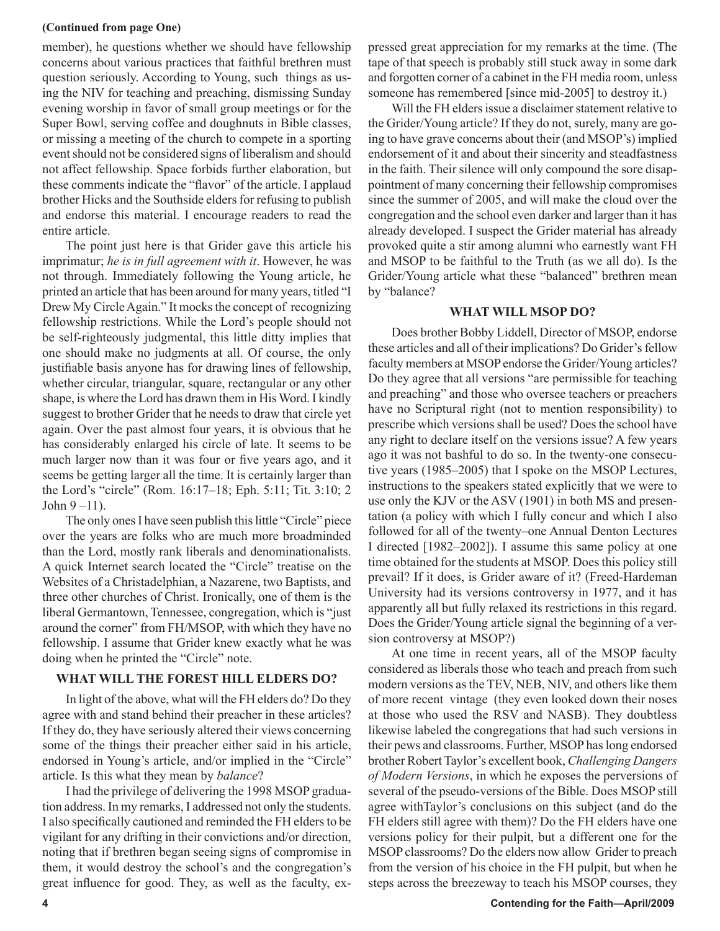#### **(Continued from page One)**

member), he questions whether we should have fellowship concerns about various practices that faithful brethren must question seriously. According to Young, such things as using the NIV for teaching and preaching, dismissing Sunday evening worship in favor of small group meetings or for the Super Bowl, serving coffee and doughnuts in Bible classes, or missing a meeting of the church to compete in a sporting event should not be considered signs of liberalism and should not affect fellowship. Space forbids further elaboration, but these comments indicate the "flavor" of the article. I applaud brother Hicks and the Southside elders for refusing to publish and endorse this material. I encourage readers to read the entire article.

The point just here is that Grider gave this article his imprimatur; *he is in full agreement with it*. However, he was not through. Immediately following the Young article, he printed an article that has been around for many years, titled "I Drew My Circle Again." It mocks the concept of recognizing fellowship restrictions. While the Lord's people should not be self-righteously judgmental, this little ditty implies that one should make no judgments at all. Of course, the only justifiable basis anyone has for drawing lines of fellowship, whether circular, triangular, square, rectangular or any other shape, is where the Lord has drawn them in His Word. I kindly suggest to brother Grider that he needs to draw that circle yet again. Over the past almost four years, it is obvious that he has considerably enlarged his circle of late. It seems to be much larger now than it was four or five years ago, and it seems be getting larger all the time. It is certainly larger than the Lord's "circle" (Rom. 16:17–18; Eph. 5:11; Tit. 3:10; 2 John  $9 - 11$ ).

The only ones I have seen publish this little "Circle" piece over the years are folks who are much more broadminded than the Lord, mostly rank liberals and denominationalists. A quick Internet search located the "Circle" treatise on the Websites of a Christadelphian, a Nazarene, two Baptists, and three other churches of Christ. Ironically, one of them is the liberal Germantown, Tennessee, congregation, which is "just around the corner" from FH/MSOP, with which they have no fellowship. I assume that Grider knew exactly what he was doing when he printed the "Circle" note.

#### **WHAT WILL THE FOREST HILL ELDERS DO?**

In light of the above, what will the FH elders do? Do they agree with and stand behind their preacher in these articles? If they do, they have seriously altered their views concerning some of the things their preacher either said in his article, endorsed in Young's article, and/or implied in the "Circle" article. Is this what they mean by *balance*?

I had the privilege of delivering the 1998 MSOP graduation address. In my remarks, I addressed not only the students. I also specifically cautioned and reminded the FH elders to be vigilant for any drifting in their convictions and/or direction, noting that if brethren began seeing signs of compromise in them, it would destroy the school's and the congregation's great influence for good. They, as well as the faculty, expressed great appreciation for my remarks at the time. (The tape of that speech is probably still stuck away in some dark and forgotten corner of a cabinet in the FH media room, unless someone has remembered [since mid-2005] to destroy it.)

Will the FH elders issue a disclaimer statement relative to the Grider/Young article? If they do not, surely, many are going to have grave concerns about their (and MSOP's) implied endorsement of it and about their sincerity and steadfastness in the faith. Their silence will only compound the sore disappointment of many concerning their fellowship compromises since the summer of 2005, and will make the cloud over the congregation and the school even darker and larger than it has already developed. I suspect the Grider material has already provoked quite a stir among alumni who earnestly want FH and MSOP to be faithful to the Truth (as we all do). Is the Grider/Young article what these "balanced" brethren mean by "balance?

#### **WHAT WILL MSOP DO?**

Does brother Bobby Liddell, Director of MSOP, endorse these articles and all of their implications? Do Grider's fellow faculty members at MSOP endorse the Grider/Young articles? Do they agree that all versions "are permissible for teaching and preaching" and those who oversee teachers or preachers have no Scriptural right (not to mention responsibility) to prescribe which versions shall be used? Does the school have any right to declare itself on the versions issue? A few years ago it was not bashful to do so. In the twenty-one consecutive years (1985–2005) that I spoke on the MSOP Lectures, instructions to the speakers stated explicitly that we were to use only the KJV or the ASV (1901) in both MS and presentation (a policy with which I fully concur and which I also followed for all of the twenty–one Annual Denton Lectures I directed [1982–2002]). I assume this same policy at one time obtained for the students at MSOP. Does this policy still prevail? If it does, is Grider aware of it? (Freed-Hardeman University had its versions controversy in 1977, and it has apparently all but fully relaxed its restrictions in this regard. Does the Grider/Young article signal the beginning of a version controversy at MSOP?)

At one time in recent years, all of the MSOP faculty considered as liberals those who teach and preach from such modern versions as the TEV, NEB, NIV, and others like them of more recent vintage (they even looked down their noses at those who used the RSV and NASB). They doubtless likewise labeled the congregations that had such versions in their pews and classrooms. Further, MSOP has long endorsed brother Robert Taylor's excellent book, *Challenging Dangers of Modern Versions*, in which he exposes the perversions of several of the pseudo-versions of the Bible. Does MSOP still agree withTaylor's conclusions on this subject (and do the FH elders still agree with them)? Do the FH elders have one versions policy for their pulpit, but a different one for the MSOP classrooms? Do the elders now allow Grider to preach from the version of his choice in the FH pulpit, but when he steps across the breezeway to teach his MSOP courses, they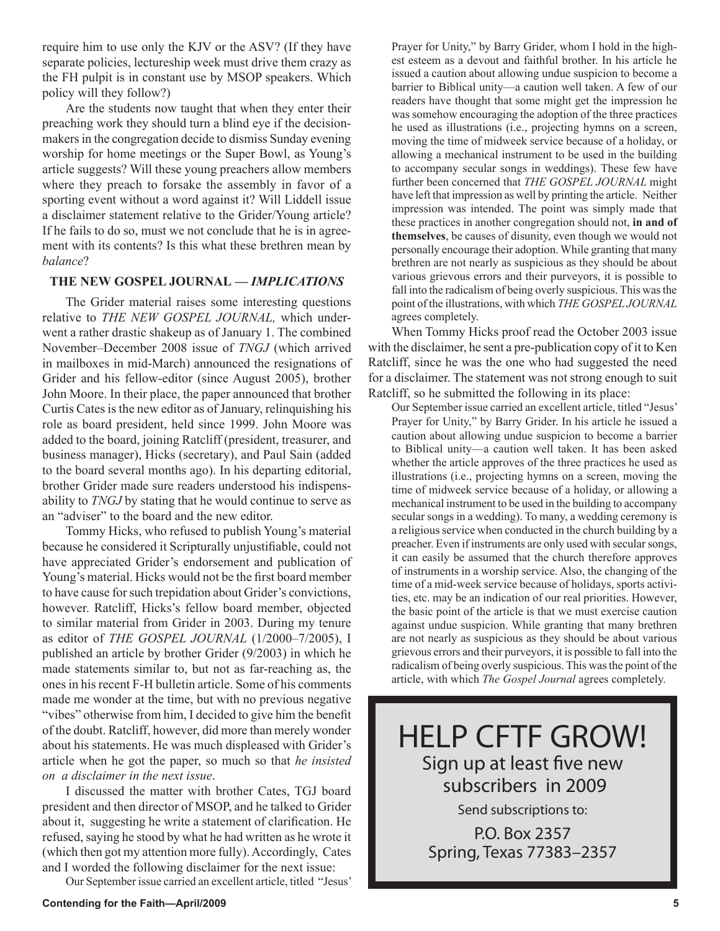require him to use only the KJV or the ASV? (If they have separate policies, lectureship week must drive them crazy as the FH pulpit is in constant use by MSOP speakers. Which policy will they follow?)

Are the students now taught that when they enter their preaching work they should turn a blind eye if the decisionmakers in the congregation decide to dismiss Sunday evening worship for home meetings or the Super Bowl, as Young's article suggests? Will these young preachers allow members where they preach to forsake the assembly in favor of a sporting event without a word against it? Will Liddell issue a disclaimer statement relative to the Grider/Young article? If he fails to do so, must we not conclude that he is in agreement with its contents? Is this what these brethren mean by *balance*?

#### **THE NEW GOSPEL JOURNAL** *— IMPLICATIONS*

The Grider material raises some interesting questions relative to *THE NEW GOSPEL JOURNAL,* which underwent a rather drastic shakeup as of January 1. The combined November–December 2008 issue of *TNGJ* (which arrived in mailboxes in mid-March) announced the resignations of Grider and his fellow-editor (since August 2005), brother John Moore. In their place, the paper announced that brother Curtis Cates is the new editor as of January, relinquishing his role as board president, held since 1999. John Moore was added to the board, joining Ratcliff (president, treasurer, and business manager), Hicks (secretary), and Paul Sain (added to the board several months ago). In his departing editorial, brother Grider made sure readers understood his indispensability to *TNGJ* by stating that he would continue to serve as an "adviser" to the board and the new editor.

Tommy Hicks, who refused to publish Young's material because he considered it Scripturally unjustifiable, could not have appreciated Grider's endorsement and publication of Young's material. Hicks would not be the first board member to have cause for such trepidation about Grider's convictions, however. Ratcliff, Hicks's fellow board member, objected to similar material from Grider in 2003. During my tenure as editor of *THE GOSPEL JOURNAL* (1/2000–7/2005), I published an article by brother Grider (9/2003) in which he made statements similar to, but not as far-reaching as, the ones in his recent F-H bulletin article. Some of his comments made me wonder at the time, but with no previous negative "vibes" otherwise from him, I decided to give him the benefit of the doubt. Ratcliff, however, did more than merely wonder about his statements. He was much displeased with Grider's article when he got the paper, so much so that *he insisted on a disclaimer in the next issue*.

I discussed the matter with brother Cates, TGJ board president and then director of MSOP, and he talked to Grider about it, suggesting he write a statement of clarification. He refused, saying he stood by what he had written as he wrote it (which then got my attention more fully). Accordingly, Cates and I worded the following disclaimer for the next issue:

Our September issue carried an excellent article, titled "Jesus'

Prayer for Unity," by Barry Grider, whom I hold in the highest esteem as a devout and faithful brother. In his article he issued a caution about allowing undue suspicion to become a barrier to Biblical unity—a caution well taken. A few of our readers have thought that some might get the impression he was somehow encouraging the adoption of the three practices he used as illustrations (i.e., projecting hymns on a screen, moving the time of midweek service because of a holiday, or allowing a mechanical instrument to be used in the building to accompany secular songs in weddings). These few have further been concerned that *THE GOSPEL JOURNAL* might have left that impression as well by printing the article. Neither impression was intended. The point was simply made that these practices in another congregation should not, **in and of themselves**, be causes of disunity, even though we would not personally encourage their adoption. While granting that many brethren are not nearly as suspicious as they should be about various grievous errors and their purveyors, it is possible to fall into the radicalism of being overly suspicious. This was the point of the illustrations, with which *THE GOSPEL JOURNAL* agrees completely.

When Tommy Hicks proof read the October 2003 issue with the disclaimer, he sent a pre-publication copy of it to Ken Ratcliff, since he was the one who had suggested the need for a disclaimer. The statement was not strong enough to suit Ratcliff, so he submitted the following in its place:

Our September issue carried an excellent article, titled "Jesus' Prayer for Unity," by Barry Grider. In his article he issued a caution about allowing undue suspicion to become a barrier to Biblical unity—a caution well taken. It has been asked whether the article approves of the three practices he used as illustrations (i.e., projecting hymns on a screen, moving the time of midweek service because of a holiday, or allowing a mechanical instrument to be used in the building to accompany secular songs in a wedding). To many, a wedding ceremony is a religious service when conducted in the church building by a preacher. Even if instruments are only used with secular songs, it can easily be assumed that the church therefore approves of instruments in a worship service. Also, the changing of the time of a mid-week service because of holidays, sports activities, etc. may be an indication of our real priorities. However, the basic point of the article is that we must exercise caution against undue suspicion. While granting that many brethren are not nearly as suspicious as they should be about various grievous errors and their purveyors, it is possible to fall into the radicalism of being overly suspicious. This was the point of the article, with which *The Gospel Journal* agrees completely.

HELP CFTF GROW! Sign up at least five new subscribers in 2009

Send subscriptions to:

P.O. Box 2357 Spring, Texas 77383–2357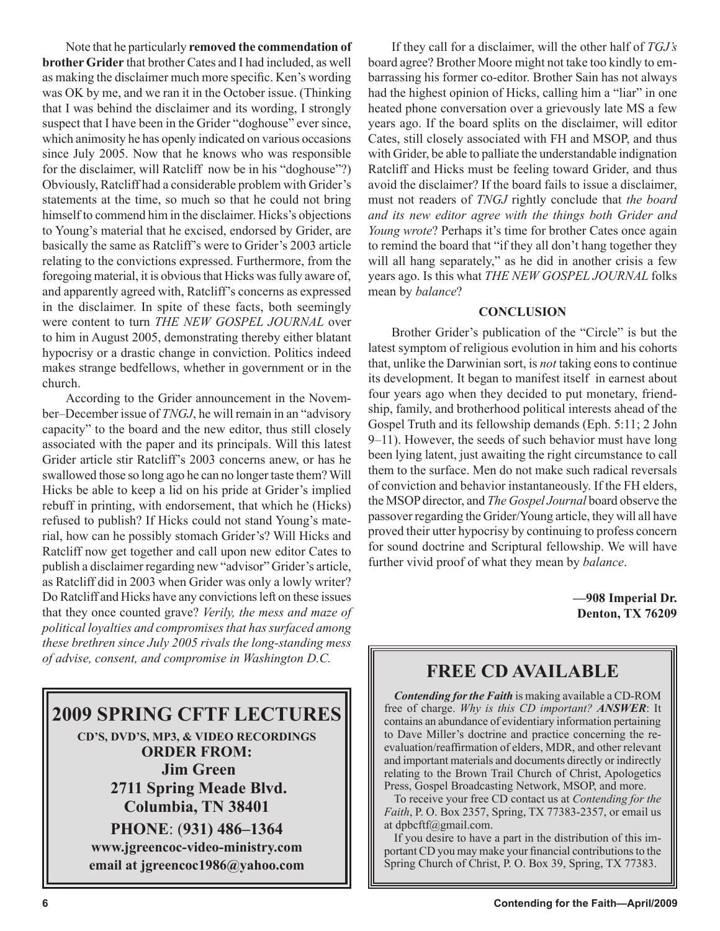Note that he particularly **removed the commendation of brother Grider** that brother Cates and I had included, as well as making the disclaimer much more specific. Ken's wording was OK by me, and we ran it in the October issue. (Thinking that I was behind the disclaimer and its wording, I strongly suspect that I have been in the Grider "doghouse" ever since, which animosity he has openly indicated on various occasions since July 2005. Now that he knows who was responsible for the disclaimer, will Ratcliff now be in his "doghouse"?) Obviously, Ratcliff had a considerable problem with Grider's statements at the time, so much so that he could not bring himself to commend him in the disclaimer. Hicks's objections to Young's material that he excised, endorsed by Grider, are basically the same as Ratcliff's were to Grider's 2003 article relating to the convictions expressed. Furthermore, from the foregoing material, it is obvious that Hicks was fully aware of, and apparently agreed with, Ratcliff's concerns as expressed in the disclaimer. In spite of these facts, both seemingly were content to turn *THE NEW GOSPEL JOURNAL* over to him in August 2005, demonstrating thereby either blatant hypocrisy or a drastic change in conviction. Politics indeed makes strange bedfellows, whether in government or in the church.

According to the Grider announcement in the November–December issue of *TNGJ*, he will remain in an "advisory capacity" to the board and the new editor, thus still closely associated with the paper and its principals. Will this latest Grider article stir Ratcliff's 2003 concerns anew, or has he swallowed those so long ago he can no longer taste them? Will Hicks be able to keep a lid on his pride at Grider's implied rebuff in printing, with endorsement, that which he (Hicks) refused to publish? If Hicks could not stand Young's material, how can he possibly stomach Grider's? Will Hicks and Ratcliff now get together and call upon new editor Cates to publish a disclaimer regarding new "advisor" Grider's article, as Ratcliff did in 2003 when Grider was only a lowly writer? Do Ratcliff and Hicks have any convictions left on these issues that they once counted grave? *Verily, the mess and maze of political loyalties and compromises that has surfaced among these brethren since July 2005 rivals the long-standing mess of advise, consent, and compromise in Washington D.C.*

**2009 SPRING CFTF LECTURES**

**CD'S, DVD'S, MP3, & VIDEO RECORDINGS ORDER FROM: Jim Green 2711 Spring Meade Blvd. Columbia, TN 38401**

**PHONE**: (**931) 486–1364 www.jgreencoc-video-ministry.com email at jgreencoc1986@yahoo.com**

If they call for a disclaimer, will the other half of *TGJ's* board agree? Brother Moore might not take too kindly to embarrassing his former co-editor. Brother Sain has not always had the highest opinion of Hicks, calling him a "liar" in one heated phone conversation over a grievously late MS a few years ago. If the board splits on the disclaimer, will editor Cates, still closely associated with FH and MSOP, and thus with Grider, be able to palliate the understandable indignation Ratcliff and Hicks must be feeling toward Grider, and thus avoid the disclaimer? If the board fails to issue a disclaimer, must not readers of *TNGJ* rightly conclude that *the board and its new editor agree with the things both Grider and Young wrote*? Perhaps it's time for brother Cates once again to remind the board that "if they all don't hang together they will all hang separately," as he did in another crisis a few years ago. Is this what *THE NEW GOSPEL JOURNAL* folks mean by *balance*?

#### **CONCLUSION**

Brother Grider's publication of the "Circle" is but the latest symptom of religious evolution in him and his cohorts that, unlike the Darwinian sort, is *not* taking eons to continue its development. It began to manifest itself in earnest about four years ago when they decided to put monetary, friendship, family, and brotherhood political interests ahead of the Gospel Truth and its fellowship demands (Eph. 5:11; 2 John 9–11). However, the seeds of such behavior must have long been lying latent, just awaiting the right circumstance to call them to the surface. Men do not make such radical reversals of conviction and behavior instantaneously. If the FH elders, the MSOP director, and *The Gospel Journal* board observe the passover regarding the Grider/Young article, they will all have proved their utter hypocrisy by continuing to profess concern for sound doctrine and Scriptural fellowship. We will have further vivid proof of what they mean by *balance*.

> **—908 Imperial Dr. Denton, TX 76209**

### **FREE CD AVAILABLE**

*Contending for the Faith* is making available a CD-ROM free of charge. *Why is this CD important? ANSWER*: It contains an abundance of evidentiary information pertaining to Dave Miller's doctrine and practice concerning the reevaluation/reaffirmation of elders, MDR, and other relevant and important materials and documents directly or indirectly relating to the Brown Trail Church of Christ, Apologetics Press, Gospel Broadcasting Network, MSOP, and more.

To receive your free CD contact us at *Contending for the Faith*, P. O. Box 2357, Spring, TX 77383-2357, or email us at dpbcftf@gmail.com.

If you desire to have a part in the distribution of this important CD you may make your financial contributions to the Spring Church of Christ, P. O. Box 39, Spring, TX 77383.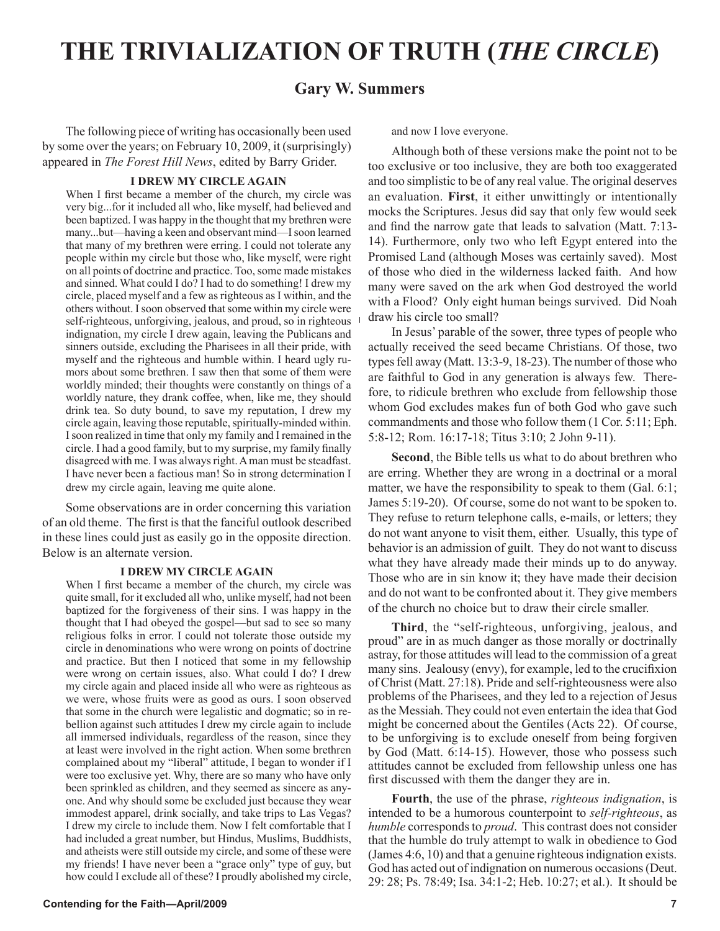## **THE TRIVIALIZATION OF TRUTH (***THE CIRCLE***)**

#### **Gary W. Summers**

The following piece of writing has occasionally been used by some over the years; on February 10, 2009, it (surprisingly) appeared in *The Forest Hill News*, edited by Barry Grider.

#### **I DREW MY CIRCLE AGAIN**

When I first became a member of the church, my circle was very big...for it included all who, like myself, had believed and been baptized. I was happy in the thought that my brethren were many...but—having a keen and observant mind—I soon learned that many of my brethren were erring. I could not tolerate any people within my circle but those who, like myself, were right on all points of doctrine and practice. Too, some made mistakes and sinned. What could I do? I had to do something! I drew my circle, placed myself and a few as righteous as I within, and the others without. I soon observed that some within my circle were self-righteous, unforgiving, jealous, and proud, so in righteous indignation, my circle I drew again, leaving the Publicans and sinners outside, excluding the Pharisees in all their pride, with myself and the righteous and humble within. I heard ugly rumors about some brethren. I saw then that some of them were worldly minded; their thoughts were constantly on things of a worldly nature, they drank coffee, when, like me, they should drink tea. So duty bound, to save my reputation, I drew my circle again, leaving those reputable, spiritually-minded within. I soon realized in time that only my family and I remained in the circle. I had a good family, but to my surprise, my family finally disagreed with me. I was always right. A man must be steadfast. I have never been a factious man! So in strong determination I drew my circle again, leaving me quite alone.

Some observations are in order concerning this variation of an old theme. The first is that the fanciful outlook described in these lines could just as easily go in the opposite direction. Below is an alternate version.

#### **I DREW MY CIRCLE AGAIN**

When I first became a member of the church, my circle was quite small, for it excluded all who, unlike myself, had not been baptized for the forgiveness of their sins. I was happy in the thought that I had obeyed the gospel—but sad to see so many religious folks in error. I could not tolerate those outside my circle in denominations who were wrong on points of doctrine and practice. But then I noticed that some in my fellowship were wrong on certain issues, also. What could I do? I drew my circle again and placed inside all who were as righteous as we were, whose fruits were as good as ours. I soon observed that some in the church were legalistic and dogmatic; so in rebellion against such attitudes I drew my circle again to include all immersed individuals, regardless of the reason, since they at least were involved in the right action. When some brethren complained about my "liberal" attitude, I began to wonder if I were too exclusive yet. Why, there are so many who have only been sprinkled as children, and they seemed as sincere as anyone. And why should some be excluded just because they wear immodest apparel, drink socially, and take trips to Las Vegas? I drew my circle to include them. Now I felt comfortable that I had included a great number, but Hindus, Muslims, Buddhists, and atheists were still outside my circle, and some of these were my friends! I have never been a "grace only" type of guy, but how could I exclude all of these? I proudly abolished my circle, and now I love everyone.

Although both of these versions make the point not to be too exclusive or too inclusive, they are both too exaggerated and too simplistic to be of any real value. The original deserves an evaluation. **First**, it either unwittingly or intentionally mocks the Scriptures. Jesus did say that only few would seek and find the narrow gate that leads to salvation (Matt. 7:13- 14). Furthermore, only two who left Egypt entered into the Promised Land (although Moses was certainly saved). Most of those who died in the wilderness lacked faith. And how many were saved on the ark when God destroyed the world with a Flood? Only eight human beings survived. Did Noah draw his circle too small?

In Jesus' parable of the sower, three types of people who actually received the seed became Christians. Of those, two types fell away (Matt. 13:3-9, 18-23). The number of those who are faithful to God in any generation is always few. Therefore, to ridicule brethren who exclude from fellowship those whom God excludes makes fun of both God who gave such commandments and those who follow them (1 Cor. 5:11; Eph. 5:8-12; Rom. 16:17-18; Titus 3:10; 2 John 9-11).

**Second**, the Bible tells us what to do about brethren who are erring. Whether they are wrong in a doctrinal or a moral matter, we have the responsibility to speak to them (Gal. 6:1; James 5:19-20). Of course, some do not want to be spoken to. They refuse to return telephone calls, e-mails, or letters; they do not want anyone to visit them, either. Usually, this type of behavior is an admission of guilt. They do not want to discuss what they have already made their minds up to do anyway. Those who are in sin know it; they have made their decision and do not want to be confronted about it. They give members of the church no choice but to draw their circle smaller.

**Third**, the "self-righteous, unforgiving, jealous, and proud" are in as much danger as those morally or doctrinally astray, for those attitudes will lead to the commission of a great many sins. Jealousy (envy), for example, led to the crucifixion of Christ (Matt. 27:18). Pride and self-righteousness were also problems of the Pharisees, and they led to a rejection of Jesus as the Messiah. They could not even entertain the idea that God might be concerned about the Gentiles (Acts 22). Of course, to be unforgiving is to exclude oneself from being forgiven by God (Matt. 6:14-15). However, those who possess such attitudes cannot be excluded from fellowship unless one has first discussed with them the danger they are in.

**Fourth**, the use of the phrase, *righteous indignation*, is intended to be a humorous counterpoint to *self-righteous*, as *humble* corresponds to *proud*. This contrast does not consider that the humble do truly attempt to walk in obedience to God (James 4:6, 10) and that a genuine righteous indignation exists. God has acted out of indignation on numerous occasions (Deut. 29: 28; Ps. 78:49; Isa. 34:1-2; Heb. 10:27; et al.). It should be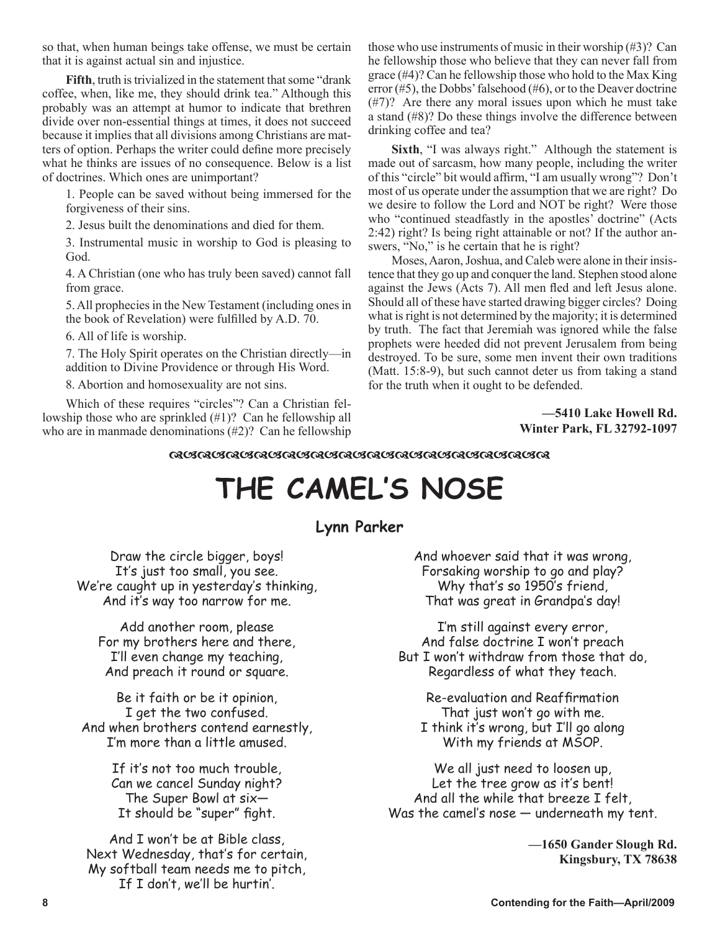so that, when human beings take offense, we must be certain that it is against actual sin and injustice.

**Fifth**, truth is trivialized in the statement that some "drank coffee, when, like me, they should drink tea." Although this probably was an attempt at humor to indicate that brethren divide over non-essential things at times, it does not succeed because it implies that all divisions among Christians are matters of option. Perhaps the writer could define more precisely what he thinks are issues of no consequence. Below is a list of doctrines. Which ones are unimportant?

1. People can be saved without being immersed for the forgiveness of their sins.

2. Jesus built the denominations and died for them.

3. Instrumental music in worship to God is pleasing to God.

4. A Christian (one who has truly been saved) cannot fall from grace.

5. All prophecies in the New Testament (including ones in the book of Revelation) were fulfilled by A.D. 70.

6. All of life is worship.

7. The Holy Spirit operates on the Christian directly—in addition to Divine Providence or through His Word.

8. Abortion and homosexuality are not sins.

Which of these requires "circles"? Can a Christian fellowship those who are sprinkled (#1)? Can he fellowship all who are in manmade denominations  $(\#2)$ ? Can he fellowship those who use instruments of music in their worship (#3)? Can he fellowship those who believe that they can never fall from grace (#4)? Can he fellowship those who hold to the Max King error (#5), the Dobbs' falsehood (#6), or to the Deaver doctrine (#7)? Are there any moral issues upon which he must take a stand (#8)? Do these things involve the difference between drinking coffee and tea?

**Sixth**, "I was always right." Although the statement is made out of sarcasm, how many people, including the writer of this "circle" bit would affirm, "I am usually wrong"? Don't most of us operate under the assumption that we are right? Do we desire to follow the Lord and NOT be right? Were those who "continued steadfastly in the apostles' doctrine" (Acts 2:42) right? Is being right attainable or not? If the author answers, "No," is he certain that he is right?

Moses, Aaron, Joshua, and Caleb were alone in their insistence that they go up and conquer the land. Stephen stood alone against the Jews (Acts 7). All men fled and left Jesus alone. Should all of these have started drawing bigger circles? Doing what is right is not determined by the majority; it is determined by truth. The fact that Jeremiah was ignored while the false prophets were heeded did not prevent Jerusalem from being destroyed. To be sure, some men invent their own traditions (Matt. 15:8-9), but such cannot deter us from taking a stand for the truth when it ought to be defended.

> **—5410 Lake Howell Rd. Winter Park, FL 32792-1097**

# **THE CAMEL'S NOSE**

#### **Lynn Parker**

Draw the circle bigger, boys! It's just too small, you see. We're caught up in yesterday's thinking, And it's way too narrow for me.

Add another room, please For my brothers here and there, I'll even change my teaching, And preach it round or square.

Be it faith or be it opinion, I get the two confused. And when brothers contend earnestly, I'm more than a little amused.

> If it's not too much trouble, Can we cancel Sunday night? The Super Bowl at six— It should be "super" fight.

And I won't be at Bible class, Next Wednesday, that's for certain, My softball team needs me to pitch, If I don't, we'll be hurtin'.

And whoever said that it was wrong, Forsaking worship to go and play? Why that's so 1950's friend, That was great in Grandpa's day!

I'm still against every error, And false doctrine I won't preach But I won't withdraw from those that do, Regardless of what they teach.

Re-evaluation and Reaffirmation That just won't go with me. I think it's wrong, but I'll go along With my friends at MSOP.

We all just need to loosen up, Let the tree grow as it's bent! And all the while that breeze I felt, Was the camel's nose — underneath my tent.

> **—1650 Gander Slough Rd. Kingsbury, TX 78638**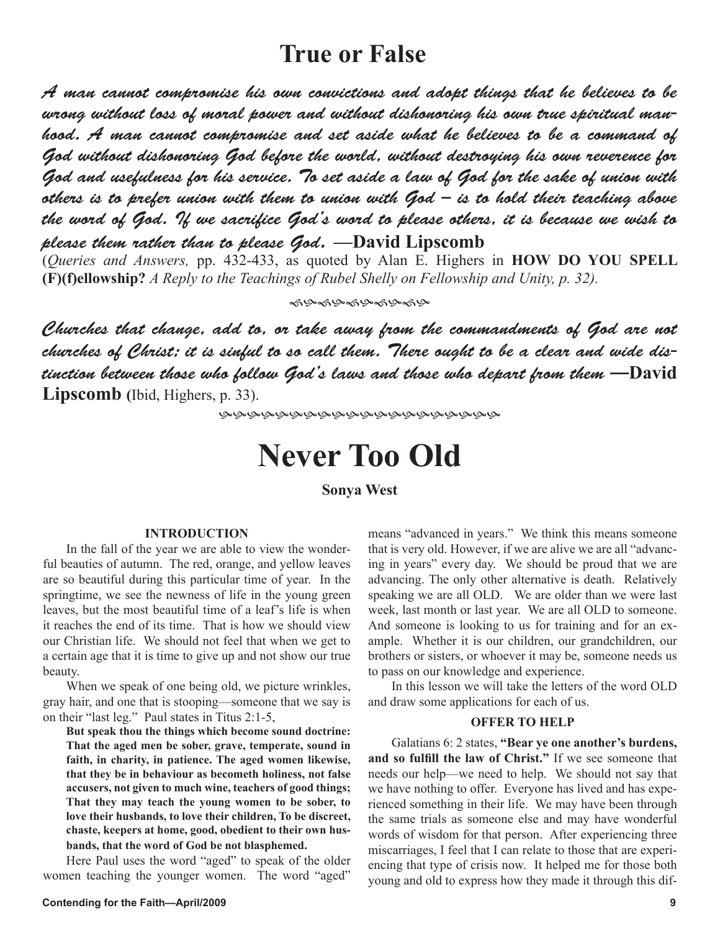### **True or False**

A man cannot compromise his own convictions and adopt things that he believes to be wrong without loss of moral power and without dishonoring his own true spiritual manhood. A man cannot compromise and set aside what he believes to be a command of God without dishonoring God before the world, without destroying his own reverence for God and usefulness for his service. To set aside a law of God for the sake of union with others is to prefer union with them to union with  $\mathcal{G}$ od – is to hold their teaching above the word of God. If we sacrifice God's word to please others, it is because we wish to please them rather than to please God. **—David Lipscomb**

(*Queries and Answers,* pp. 432-433, as quoted by Alan E. Highers in **HOW DO YOU SPELL (F)(f)ellowship?** *A Reply to the Teachings of Rubel Shelly on Fellowship and Unity, p. 32).*

ৼঀড়৽ৼঀড়৽৻ড়৽৻ড়৽৻ড়৽

Churches that change, add to, or take away from the commandments of God are not churches of Christ; it is sinful to so call them. There ought to be a clear and wide distinction between those who follow God's laws and those who depart from them —**David Lipscomb (**Ibid, Highers, p. 33).

**დდდდადდადდადადადადადადად** 

# **Never Too Old**

#### **Sonya West**

#### **INTRODUCTION**

In the fall of the year we are able to view the wonderful beauties of autumn. The red, orange, and yellow leaves are so beautiful during this particular time of year. In the springtime, we see the newness of life in the young green leaves, but the most beautiful time of a leaf's life is when it reaches the end of its time. That is how we should view our Christian life. We should not feel that when we get to a certain age that it is time to give up and not show our true beauty.

When we speak of one being old, we picture wrinkles, gray hair, and one that is stooping—someone that we say is on their "last leg." Paul states in Titus 2:1-5,

**But speak thou the things which become sound doctrine: That the aged men be sober, grave, temperate, sound in faith, in charity, in patience. The aged women likewise, that they be in behaviour as becometh holiness, not false accusers, not given to much wine, teachers of good things; That they may teach the young women to be sober, to love their husbands, to love their children, To be discreet, chaste, keepers at home, good, obedient to their own husbands, that the word of God be not blasphemed.**

Here Paul uses the word "aged" to speak of the older women teaching the younger women. The word "aged"

**Contending for the Faith—April/2009 9**

means "advanced in years." We think this means someone that is very old. However, if we are alive we are all "advancing in years" every day. We should be proud that we are advancing. The only other alternative is death. Relatively speaking we are all OLD. We are older than we were last week, last month or last year. We are all OLD to someone. And someone is looking to us for training and for an example. Whether it is our children, our grandchildren, our brothers or sisters, or whoever it may be, someone needs us to pass on our knowledge and experience.

In this lesson we will take the letters of the word OLD and draw some applications for each of us.

#### **OFFER TO HELP**

Galatians 6: 2 states, **"Bear ye one another's burdens, and so fulfill the law of Christ."** If we see someone that needs our help—we need to help. We should not say that we have nothing to offer. Everyone has lived and has experienced something in their life. We may have been through the same trials as someone else and may have wonderful words of wisdom for that person. After experiencing three miscarriages, I feel that I can relate to those that are experiencing that type of crisis now. It helped me for those both young and old to express how they made it through this dif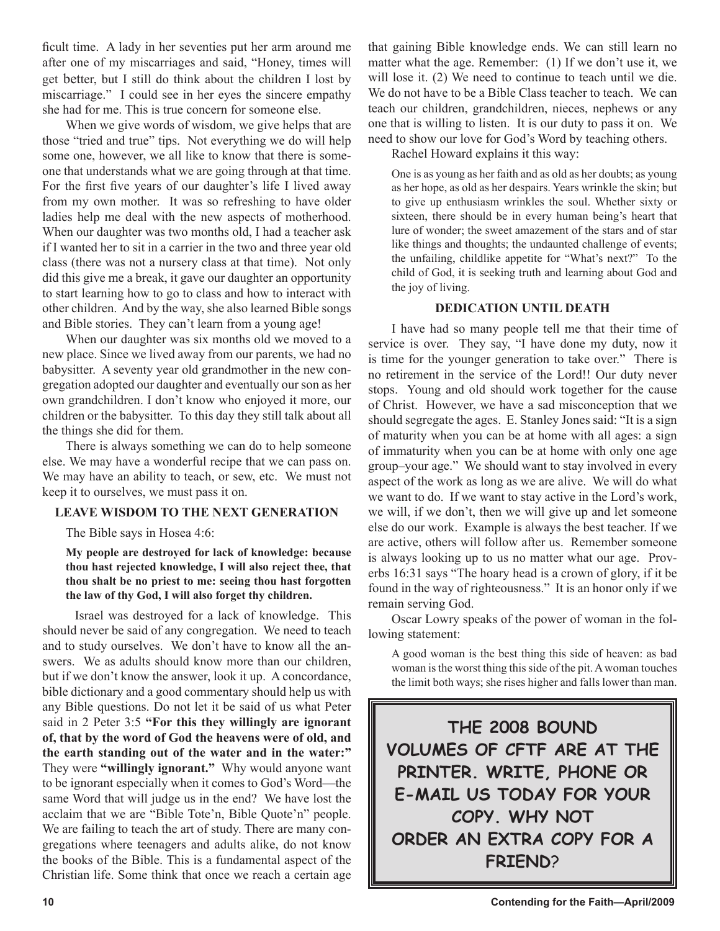ficult time. A lady in her seventies put her arm around me after one of my miscarriages and said, "Honey, times will get better, but I still do think about the children I lost by miscarriage." I could see in her eyes the sincere empathy she had for me. This is true concern for someone else.

When we give words of wisdom, we give helps that are those "tried and true" tips. Not everything we do will help some one, however, we all like to know that there is someone that understands what we are going through at that time. For the first five years of our daughter's life I lived away from my own mother. It was so refreshing to have older ladies help me deal with the new aspects of motherhood. When our daughter was two months old, I had a teacher ask if I wanted her to sit in a carrier in the two and three year old class (there was not a nursery class at that time). Not only did this give me a break, it gave our daughter an opportunity to start learning how to go to class and how to interact with other children. And by the way, she also learned Bible songs and Bible stories. They can't learn from a young age!

When our daughter was six months old we moved to a new place. Since we lived away from our parents, we had no babysitter. A seventy year old grandmother in the new congregation adopted our daughter and eventually our son as her own grandchildren. I don't know who enjoyed it more, our children or the babysitter. To this day they still talk about all the things she did for them.

There is always something we can do to help someone else. We may have a wonderful recipe that we can pass on. We may have an ability to teach, or sew, etc. We must not keep it to ourselves, we must pass it on.

#### **LEAVE WISDOM TO THE NEXT GENERATION**

The Bible says in Hosea 4:6:

**My people are destroyed for lack of knowledge: because thou hast rejected knowledge, I will also reject thee, that thou shalt be no priest to me: seeing thou hast forgotten the law of thy God, I will also forget thy children.**

 Israel was destroyed for a lack of knowledge. This should never be said of any congregation. We need to teach and to study ourselves. We don't have to know all the answers. We as adults should know more than our children, but if we don't know the answer, look it up. A concordance, bible dictionary and a good commentary should help us with any Bible questions. Do not let it be said of us what Peter said in 2 Peter 3:5 **"For this they willingly are ignorant of, that by the word of God the heavens were of old, and the earth standing out of the water and in the water:"**  They were **"willingly ignorant."** Why would anyone want to be ignorant especially when it comes to God's Word—the same Word that will judge us in the end? We have lost the acclaim that we are "Bible Tote'n, Bible Quote'n" people. We are failing to teach the art of study. There are many congregations where teenagers and adults alike, do not know the books of the Bible. This is a fundamental aspect of the Christian life. Some think that once we reach a certain age that gaining Bible knowledge ends. We can still learn no matter what the age. Remember: (1) If we don't use it, we will lose it. (2) We need to continue to teach until we die. We do not have to be a Bible Class teacher to teach. We can teach our children, grandchildren, nieces, nephews or any one that is willing to listen. It is our duty to pass it on. We need to show our love for God's Word by teaching others.

Rachel Howard explains it this way:

One is as young as her faith and as old as her doubts; as young as her hope, as old as her despairs. Years wrinkle the skin; but to give up enthusiasm wrinkles the soul. Whether sixty or sixteen, there should be in every human being's heart that lure of wonder; the sweet amazement of the stars and of star like things and thoughts; the undaunted challenge of events; the unfailing, childlike appetite for "What's next?" To the child of God, it is seeking truth and learning about God and the joy of living.

#### **DEDICATION UNTIL DEATH**

I have had so many people tell me that their time of service is over. They say, "I have done my duty, now it is time for the younger generation to take over." There is no retirement in the service of the Lord!! Our duty never stops. Young and old should work together for the cause of Christ. However, we have a sad misconception that we should segregate the ages. E. Stanley Jones said: "It is a sign of maturity when you can be at home with all ages: a sign of immaturity when you can be at home with only one age group–your age." We should want to stay involved in every aspect of the work as long as we are alive. We will do what we want to do. If we want to stay active in the Lord's work, we will, if we don't, then we will give up and let someone else do our work. Example is always the best teacher. If we are active, others will follow after us. Remember someone is always looking up to us no matter what our age. Proverbs 16:31 says "The hoary head is a crown of glory, if it be found in the way of righteousness." It is an honor only if we remain serving God.

Oscar Lowry speaks of the power of woman in the following statement:

A good woman is the best thing this side of heaven: as bad woman is the worst thing this side of the pit. A woman touches the limit both ways; she rises higher and falls lower than man.

**THE 2008 BOUND VOLUMES OF CFTF ARE AT THE PRINTER. WRITE, PHONE OR E-MAIL US TODAY FOR YOUR COPY. WHY NOT ORDER AN EXTRA COPY FOR A FRIEND**?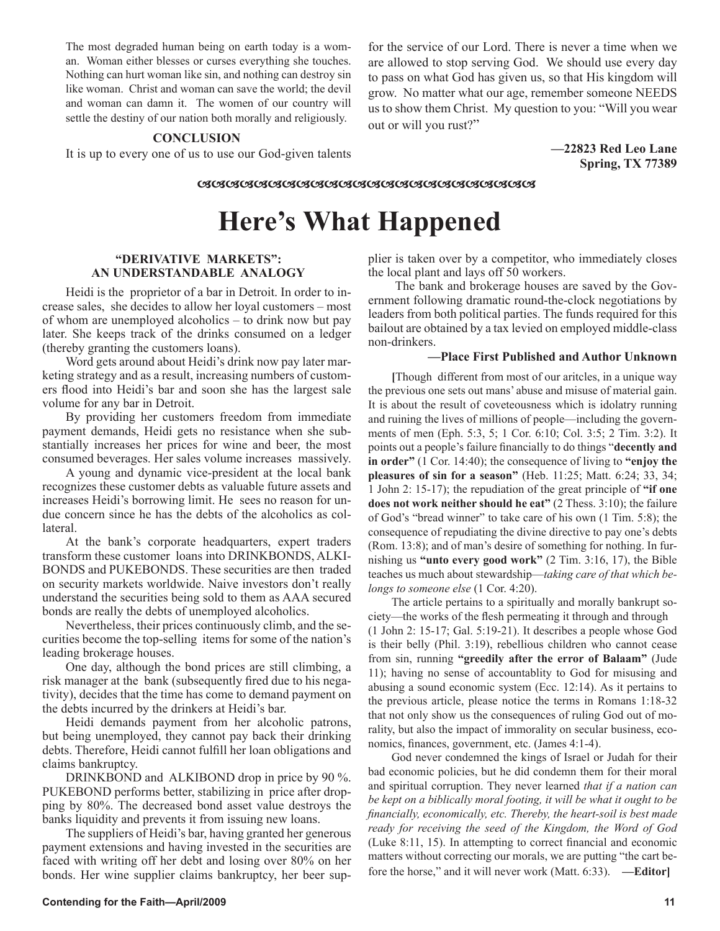The most degraded human being on earth today is a woman. Woman either blesses or curses everything she touches. Nothing can hurt woman like sin, and nothing can destroy sin like woman. Christ and woman can save the world; the devil and woman can damn it. The women of our country will settle the destiny of our nation both morally and religiously.

**CONCLUSION**

It is up to every one of us to use our God-given talents

for the service of our Lord. There is never a time when we are allowed to stop serving God. We should use every day to pass on what God has given us, so that His kingdom will grow. No matter what our age, remember someone NEEDS us to show them Christ. My question to you: "Will you wear out or will you rust?"

> **—22823 Red Leo Lane Spring, TX 77389**

#### <u>RRARARARARARARARARARARARARARAR</u>

## **Here's What Happened**

#### **"DERIVATIVE MARKETS": AN UNDERSTANDABLE ANALOGY**

Heidi is the proprietor of a bar in Detroit. In order to increase sales, she decides to allow her loyal customers – most of whom are unemployed alcoholics – to drink now but pay later. She keeps track of the drinks consumed on a ledger (thereby granting the customers loans).

Word gets around about Heidi's drink now pay later marketing strategy and as a result, increasing numbers of customers flood into Heidi's bar and soon she has the largest sale volume for any bar in Detroit.

By providing her customers freedom from immediate payment demands, Heidi gets no resistance when she substantially increases her prices for wine and beer, the most consumed beverages. Her sales volume increases massively.

A young and dynamic vice-president at the local bank recognizes these customer debts as valuable future assets and increases Heidi's borrowing limit. He sees no reason for undue concern since he has the debts of the alcoholics as collateral.

At the bank's corporate headquarters, expert traders transform these customer loans into DRINKBONDS, ALKI-BONDS and PUKEBONDS. These securities are then traded on security markets worldwide. Naive investors don't really understand the securities being sold to them as AAA secured bonds are really the debts of unemployed alcoholics.

Nevertheless, their prices continuously climb, and the securities become the top-selling items for some of the nation's leading brokerage houses.

One day, although the bond prices are still climbing, a risk manager at the bank (subsequently fired due to his negativity), decides that the time has come to demand payment on the debts incurred by the drinkers at Heidi's bar.

Heidi demands payment from her alcoholic patrons, but being unemployed, they cannot pay back their drinking debts. Therefore, Heidi cannot fulfill her loan obligations and claims bankruptcy.

DRINKBOND and ALKIBOND drop in price by 90 %. PUKEBOND performs better, stabilizing in price after dropping by 80%. The decreased bond asset value destroys the banks liquidity and prevents it from issuing new loans.

The suppliers of Heidi's bar, having granted her generous payment extensions and having invested in the securities are faced with writing off her debt and losing over 80% on her bonds. Her wine supplier claims bankruptcy, her beer supplier is taken over by a competitor, who immediately closes the local plant and lays off 50 workers.

 The bank and brokerage houses are saved by the Government following dramatic round-the-clock negotiations by leaders from both political parties. The funds required for this bailout are obtained by a tax levied on employed middle-class non-drinkers.

#### **—Place First Published and Author Unknown**

**[**Though different from most of our aritcles, in a unique way the previous one sets out mans' abuse and misuse of material gain. It is about the result of coveteousness which is idolatry running and ruining the lives of millions of people—including the governments of men (Eph. 5:3, 5; 1 Cor. 6:10; Col. 3:5; 2 Tim. 3:2). It points out a people's failure financially to do things "**decently and in order"** (1 Cor. 14:40); the consequence of living to **"enjoy the pleasures of sin for a season"** (Heb. 11:25; Matt. 6:24; 33, 34; 1 John 2: 15-17); the repudiation of the great principle of **"if one does not work neither should he eat"** (2 Thess. 3:10); the failure of God's "bread winner" to take care of his own (1 Tim. 5:8); the consequence of repudiating the divine directive to pay one's debts (Rom. 13:8); and of man's desire of something for nothing. In furnishing us **"unto every good work"** (2 Tim. 3:16, 17), the Bible teaches us much about stewardship—*taking care of that which belongs to someone else* (1 Cor. 4:20).

The article pertains to a spiritually and morally bankrupt society—the works of the flesh permeating it through and through (1 John 2: 15-17; Gal. 5:19-21). It describes a people whose God is their belly (Phil. 3:19), rebellious children who cannot cease from sin, running **"greedily after the error of Balaam"** (Jude 11); having no sense of accountablity to God for misusing and abusing a sound economic system (Ecc. 12:14). As it pertains to the previous article, please notice the terms in Romans 1:18-32 that not only show us the consequences of ruling God out of morality, but also the impact of immorality on secular business, economics, finances, government, etc. (James 4:1-4).

God never condemned the kings of Israel or Judah for their bad economic policies, but he did condemn them for their moral and spiritual corruption. They never learned *that if a nation can be kept on a biblically moral footing, it will be what it ought to be financially, economically, etc. Thereby, the heart-soil is best made ready for receiving the seed of the Kingdom, the Word of God*  (Luke 8:11, 15). In attempting to correct financial and economic matters without correcting our morals, we are putting "the cart before the horse," and it will never work (Matt. 6:33).**—Editor]**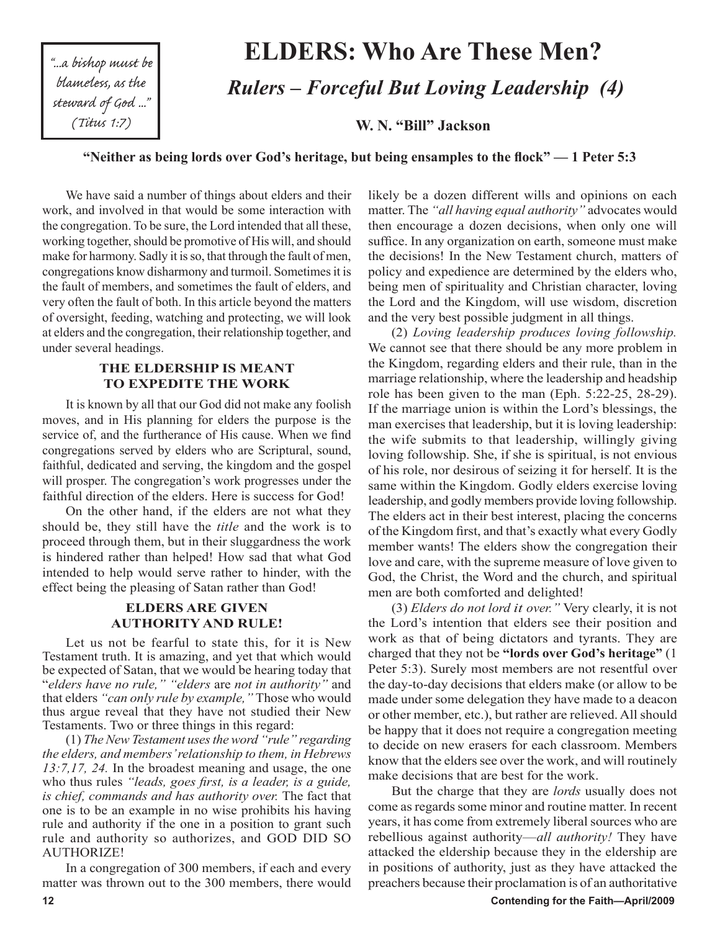"...a bishop must be blameless, as the steward of God... (Titus 1:7)

## **ELDERS: Who Are These Men?** *Rulers – Forceful But Loving Leadership (4)*

**W. N. "Bill" Jackson** 

#### **"Neither as being lords over God's heritage, but being ensamples to the flock" — 1 Peter 5:3**

We have said a number of things about elders and their work, and involved in that would be some interaction with the congregation. To be sure, the Lord intended that all these, working together, should be promotive of His will, and should make for harmony. Sadly it is so, that through the fault of men, congregations know disharmony and turmoil. Sometimes it is the fault of members, and sometimes the fault of elders, and very often the fault of both. In this article beyond the matters of oversight, feeding, watching and protecting, we will look at elders and the congregation, their relationship together, and under several headings.

#### **THE ELDERSHIP IS MEANT TO EXPEDITE THE WORK**

It is known by all that our God did not make any foolish moves, and in His planning for elders the purpose is the service of, and the furtherance of His cause. When we find congregations served by elders who are Scriptural, sound, faithful, dedicated and serving, the kingdom and the gospel will prosper. The congregation's work progresses under the faithful direction of the elders. Here is success for God!

On the other hand, if the elders are not what they should be, they still have the *title* and the work is to proceed through them, but in their sluggardness the work is hindered rather than helped! How sad that what God intended to help would serve rather to hinder, with the effect being the pleasing of Satan rather than God!

#### **ELDERS ARE GIVEN AUTHORITY AND RULE!**

Let us not be fearful to state this, for it is New Testament truth. It is amazing, and yet that which would be expected of Satan, that we would be hearing today that "*elders have no rule," "elders* are *not in authority"* and that elders *"can only rule by example,"* Those who would thus argue reveal that they have not studied their New Testaments. Two or three things in this regard:

(1) *The New Testament uses the word "rule" regarding the elders, and members' relationship to them, in Hebrews 13:7,17, 24.* In the broadest meaning and usage, the one who thus rules *"leads, goes first, is a leader, is a guide, is chief, commands and has authority over.* The fact that one is to be an example in no wise prohibits his having rule and authority if the one in a position to grant such rule and authority so authorizes, and GOD DID SO AUTHORIZE!

In a congregation of 300 members, if each and every matter was thrown out to the 300 members, there would likely be a dozen different wills and opinions on each matter. The *"all having equal authority"* advocates would then encourage a dozen decisions, when only one will suffice. In any organization on earth, someone must make the decisions! In the New Testament church, matters of policy and expedience are determined by the elders who, being men of spirituality and Christian character, loving the Lord and the Kingdom, will use wisdom, discretion and the very best possible judgment in all things.

(2) *Loving leadership produces loving followship.* We cannot see that there should be any more problem in the Kingdom, regarding elders and their rule, than in the marriage relationship, where the leadership and headship role has been given to the man (Eph. 5:22-25, 28-29). If the marriage union is within the Lord's blessings, the man exercises that leadership, but it is loving leadership: the wife submits to that leadership, willingly giving loving followship. She, if she is spiritual, is not envious of his role, nor desirous of seizing it for herself. It is the same within the Kingdom. Godly elders exercise loving leadership, and godly members provide loving followship. The elders act in their best interest, placing the concerns of the Kingdom first, and that's exactly what every Godly member wants! The elders show the congregation their love and care, with the supreme measure of love given to God, the Christ, the Word and the church, and spiritual men are both comforted and delighted!

(3) *Elders do not lord it over."* Very clearly, it is not the Lord's intention that elders see their position and work as that of being dictators and tyrants. They are charged that they not be **"lords over God's heritage"** (1 Peter 5:3). Surely most members are not resentful over the day-to-day decisions that elders make (or allow to be made under some delegation they have made to a deacon or other member, etc.), but rather are relieved. All should be happy that it does not require a congregation meeting to decide on new erasers for each classroom. Members know that the elders see over the work, and will routinely make decisions that are best for the work.

But the charge that they are *lords* usually does not come as regards some minor and routine matter. In recent years, it has come from extremely liberal sources who are rebellious against authority—*all authority!* They have attacked the eldership because they in the eldership are in positions of authority, just as they have attacked the preachers because their proclamation is of an authoritative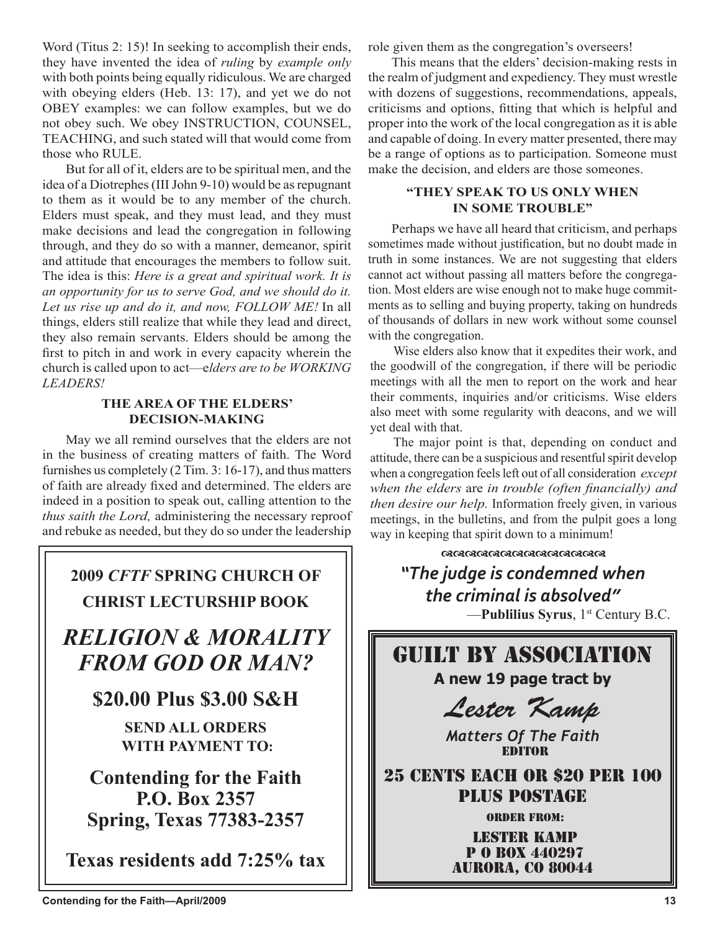Word (Titus 2: 15)! In seeking to accomplish their ends, they have invented the idea of *ruling* by *example only* with both points being equally ridiculous. We are charged with obeying elders (Heb. 13: 17), and yet we do not OBEY examples: we can follow examples, but we do not obey such. We obey INSTRUCTION, COUNSEL, TEACHING, and such stated will that would come from those who RULE.

But for all of it, elders are to be spiritual men, and the idea of a Diotrephes (III John 9-10) would be as repugnant to them as it would be to any member of the church. Elders must speak, and they must lead, and they must make decisions and lead the congregation in following through, and they do so with a manner, demeanor, spirit and attitude that encourages the members to follow suit. The idea is this: *Here is a great and spiritual work. It is an opportunity for us to serve God, and we should do it. Let us rise up and do it, and now, FOLLOW ME!* In all things, elders still realize that while they lead and direct, they also remain servants. Elders should be among the first to pitch in and work in every capacity wherein the church is called upon to act—e*lders are to be WORKING LEADERS!*

#### **THE AREA OF THE ELDERS' DECISION-MAKING**

May we all remind ourselves that the elders are not in the business of creating matters of faith. The Word furnishes us completely (2 Tim. 3: 16-17), and thus matters of faith are already fixed and determined. The elders are indeed in a position to speak out, calling attention to the *thus saith the Lord,* administering the necessary reproof and rebuke as needed, but they do so under the leadership

### **2009** *CFTF* **SPRING CHURCH OF CHRIST LECTURSHIP BOOK**

*RELIGION & MORALITY FROM GOD OR MAN?*

**\$20.00 Plus \$3.00 S&H**

**SEND ALL ORDERS WITH PAYMENT TO:**

**Contending for the Faith P.O. Box 2357 Spring, Texas 77383-2357**

**Texas residents add 7:25% tax**

role given them as the congregation's overseers!

This means that the elders' decision-making rests in the realm of judgment and expediency. They must wrestle with dozens of suggestions, recommendations, appeals, criticisms and options, fitting that which is helpful and proper into the work of the local congregation as it is able and capable of doing. In every matter presented, there may be a range of options as to participation. Someone must make the decision, and elders are those someones.

#### **"THEY SPEAK TO US ONLY WHEN IN SOME TROUBLE"**

Perhaps we have all heard that criticism, and perhaps sometimes made without justification, but no doubt made in truth in some instances. We are not suggesting that elders cannot act without passing all matters before the congregation. Most elders are wise enough not to make huge commitments as to selling and buying property, taking on hundreds of thousands of dollars in new work without some counsel with the congregation.

Wise elders also know that it expedites their work, and the goodwill of the congregation, if there will be periodic meetings with all the men to report on the work and hear their comments, inquiries and/or criticisms. Wise elders also meet with some regularity with deacons, and we will yet deal with that.

The major point is that, depending on conduct and attitude, there can be a suspicious and resentful spirit develop when a congregation feels left out of all consideration *except when the elders* are *in trouble (often financially) and then desire our help.* Information freely given, in various meetings, in the bulletins, and from the pulpit goes a long way in keeping that spirit down to a minimum!

*"The judge is condemned when the criminal is absolved" ଜାତାବ୍ୟାତ୍ତାବ୍ୟାତ୍ତାବ୍ୟାତ୍ତାବ୍ୟାକ୍ୟାରା* 

—**Publilius Syrus**, 1st Century B.C.

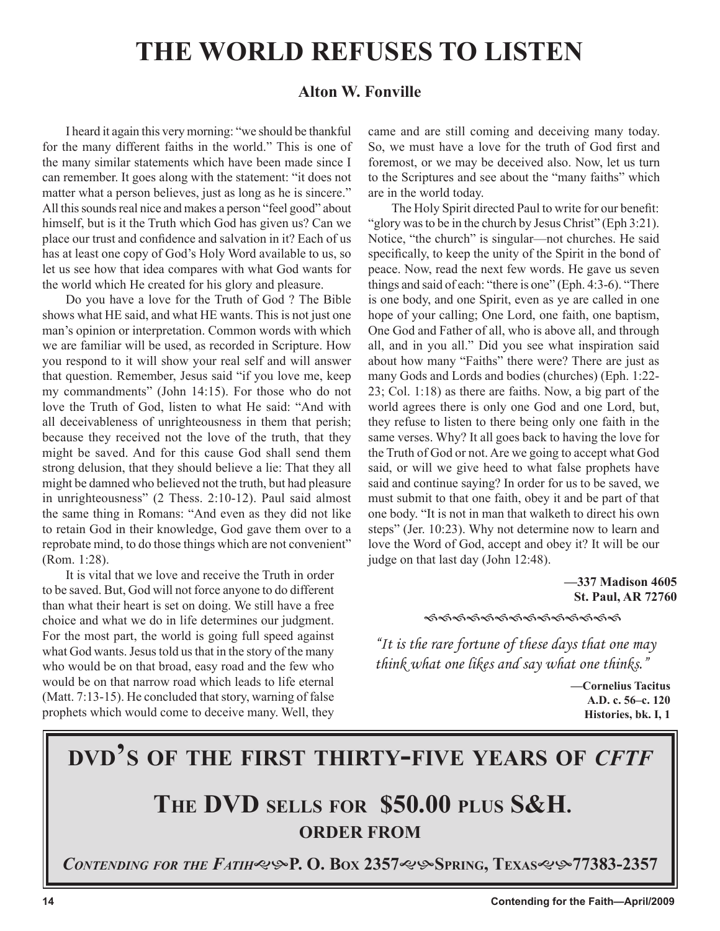## **THE WORLD REFUSES TO LISTEN**

#### **Alton W. Fonville**

I heard it again this very morning: "we should be thankful for the many different faiths in the world." This is one of the many similar statements which have been made since I can remember. It goes along with the statement: "it does not matter what a person believes, just as long as he is sincere." All this sounds real nice and makes a person "feel good" about himself, but is it the Truth which God has given us? Can we place our trust and confidence and salvation in it? Each of us has at least one copy of God's Holy Word available to us, so let us see how that idea compares with what God wants for the world which He created for his glory and pleasure.

Do you have a love for the Truth of God ? The Bible shows what HE said, and what HE wants. This is not just one man's opinion or interpretation. Common words with which we are familiar will be used, as recorded in Scripture. How you respond to it will show your real self and will answer that question. Remember, Jesus said "if you love me, keep my commandments" (John 14:15). For those who do not love the Truth of God, listen to what He said: "And with all deceivableness of unrighteousness in them that perish; because they received not the love of the truth, that they might be saved. And for this cause God shall send them strong delusion, that they should believe a lie: That they all might be damned who believed not the truth, but had pleasure in unrighteousness" (2 Thess. 2:10-12). Paul said almost the same thing in Romans: "And even as they did not like to retain God in their knowledge, God gave them over to a reprobate mind, to do those things which are not convenient" (Rom. 1:28).

It is vital that we love and receive the Truth in order to be saved. But, God will not force anyone to do different than what their heart is set on doing. We still have a free choice and what we do in life determines our judgment. For the most part, the world is going full speed against what God wants. Jesus told us that in the story of the many who would be on that broad, easy road and the few who would be on that narrow road which leads to life eternal (Matt. 7:13-15). He concluded that story, warning of false prophets which would come to deceive many. Well, they came and are still coming and deceiving many today. So, we must have a love for the truth of God first and foremost, or we may be deceived also. Now, let us turn to the Scriptures and see about the "many faiths" which are in the world today.

The Holy Spirit directed Paul to write for our benefit: "glory was to be in the church by Jesus Christ" (Eph 3:21). Notice, "the church" is singular—not churches. He said specifically, to keep the unity of the Spirit in the bond of peace. Now, read the next few words. He gave us seven things and said of each: "there is one" (Eph. 4:3-6). "There is one body, and one Spirit, even as ye are called in one hope of your calling; One Lord, one faith, one baptism, One God and Father of all, who is above all, and through all, and in you all." Did you see what inspiration said about how many "Faiths" there were? There are just as many Gods and Lords and bodies (churches) (Eph. 1:22- 23; Col. 1:18) as there are faiths. Now, a big part of the world agrees there is only one God and one Lord, but, they refuse to listen to there being only one faith in the same verses. Why? It all goes back to having the love for the Truth of God or not. Are we going to accept what God said, or will we give heed to what false prophets have said and continue saying? In order for us to be saved, we must submit to that one faith, obey it and be part of that one body. "It is not in man that walketh to direct his own steps" (Jer. 10:23). Why not determine now to learn and love the Word of God, accept and obey it? It will be our judge on that last day (John 12:48).

#### **—337 Madison 4605 St. Paul, AR 72760**

#### ଈଈଈଈଈଈଈଈଈଈଈ

"It is the rare fortune of these days that one may think what one likes and say what one thinks."

> **—Cornelius Tacitus A.D. c. 56–c. 120 Histories, bk. I, 1**

# **DVD'S OF THE FIRST THIRTY-FIVE YEARS OF** *CFTF*

### **THE DVD SELLS FOR \$50.00 PLUS S&H. ORDER FROM**

*CONTENDING FOR THE FATIH***P. O. BOX 2357SPRING, TEXAS77383-2357**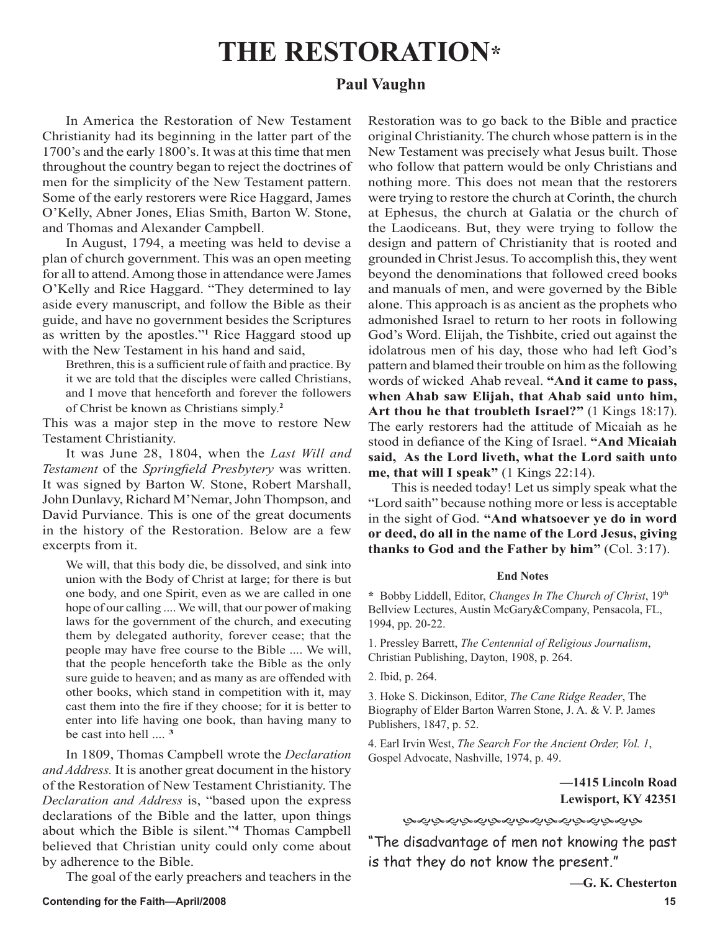## **THE RESTORATION\***

#### **Paul Vaughn**

In America the Restoration of New Testament Christianity had its beginning in the latter part of the 1700's and the early 1800's. It was at this time that men throughout the country began to reject the doctrines of men for the simplicity of the New Testament pattern. Some of the early restorers were Rice Haggard, James O'Kelly, Abner Jones, Elias Smith, Barton W. Stone, and Thomas and Alexander Campbell.

In August, 1794, a meeting was held to devise a plan of church government. This was an open meeting for all to attend. Among those in attendance were James O'Kelly and Rice Haggard. "They determined to lay aside every manuscript, and follow the Bible as their guide, and have no government besides the Scriptures as written by the apostles."**<sup>1</sup>** Rice Haggard stood up with the New Testament in his hand and said,

Brethren, this is a sufficient rule of faith and practice. By it we are told that the disciples were called Christians, and I move that henceforth and forever the followers of Christ be known as Christians simply.**<sup>2</sup>**

This was a major step in the move to restore New Testament Christianity.

It was June 28, 1804, when the *Last Will and Testament* of the *Springfield Presbytery* was written. It was signed by Barton W. Stone, Robert Marshall, John Dunlavy, Richard M'Nemar, John Thompson, and David Purviance. This is one of the great documents in the history of the Restoration. Below are a few excerpts from it.

We will, that this body die, be dissolved, and sink into union with the Body of Christ at large; for there is but one body, and one Spirit, even as we are called in one hope of our calling .... We will, that our power of making laws for the government of the church, and executing them by delegated authority, forever cease; that the people may have free course to the Bible .... We will, that the people henceforth take the Bible as the only sure guide to heaven; and as many as are offended with other books, which stand in competition with it, may cast them into the fire if they choose; for it is better to enter into life having one book, than having many to be cast into hell .... **3**

In 1809, Thomas Campbell wrote the *Declaration and Address.* It is another great document in the history of the Restoration of New Testament Christianity. The *Declaration and Address* is, "based upon the express declarations of the Bible and the latter, upon things about which the Bible is silent."**<sup>4</sup>** Thomas Campbell believed that Christian unity could only come about by adherence to the Bible.

The goal of the early preachers and teachers in the

Restoration was to go back to the Bible and practice original Christianity. The church whose pattern is in the New Testament was precisely what Jesus built. Those who follow that pattern would be only Christians and nothing more. This does not mean that the restorers were trying to restore the church at Corinth, the church at Ephesus, the church at Galatia or the church of the Laodiceans. But, they were trying to follow the design and pattern of Christianity that is rooted and grounded in Christ Jesus. To accomplish this, they went beyond the denominations that followed creed books and manuals of men, and were governed by the Bible alone. This approach is as ancient as the prophets who admonished Israel to return to her roots in following God's Word. Elijah, the Tishbite, cried out against the idolatrous men of his day, those who had left God's pattern and blamed their trouble on him as the following words of wicked Ahab reveal. **"And it came to pass, when Ahab saw Elijah, that Ahab said unto him, Art thou he that troubleth Israel?"** (1 Kings 18:17). The early restorers had the attitude of Micaiah as he stood in defiance of the King of Israel. **"And Micaiah said, As the Lord liveth, what the Lord saith unto me, that will I speak"** (1 Kings 22:14).

This is needed today! Let us simply speak what the "Lord saith" because nothing more or less is acceptable in the sight of God. **"And whatsoever ye do in word or deed, do all in the name of the Lord Jesus, giving thanks to God and the Father by him"** (Col. 3:17).

#### **End Notes**

**\*** Bobby Liddell, Editor, *Changes In The Church of Christ*, 19th Bellview Lectures, Austin McGary&Company, Pensacola, FL, 1994, pp. 20-22.

1. Pressley Barrett, *The Centennial of Religious Journalism*, Christian Publishing, Dayton, 1908, p. 264.

2. Ibid, p. 264.

3. Hoke S. Dickinson, Editor, *The Cane Ridge Reader*, The Biography of Elder Barton Warren Stone, J. A. & V. P. James Publishers, 1847, p. 52.

4. Earl Irvin West, *The Search For the Ancient Order, Vol. 1*, Gospel Advocate, Nashville, 1974, p. 49.

> **—1415 Lincoln Road Lewisport, KY 42351**

*কৰ্ণকৰ্ণকৰ্ণকৰ্ণকৰ্ণকৰ্ণকৰ্ণকৰ্ণক* 

"The disadvantage of men not knowing the past is that they do not know the present."

**—G. K. Chesterton**